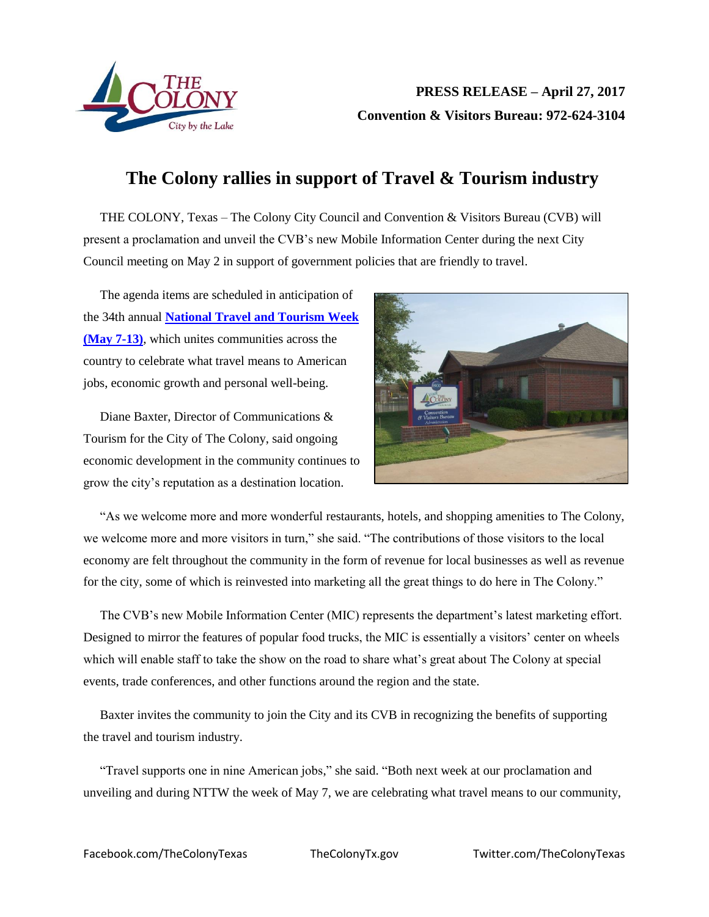

## **The Colony rallies in support of Travel & Tourism industry**

THE COLONY, Texas – The Colony City Council and Convention & Visitors Bureau (CVB) will present a proclamation and unveil the CVB's new Mobile Information Center during the next City Council meeting on May 2 in support of government policies that are friendly to travel.

The agenda items are scheduled in anticipation of the 34th annual **[National Travel and Tourism Week](https://www.ustravel.org/events/national-travel-and-tourism-week)  [\(May 7-13\)](https://www.ustravel.org/events/national-travel-and-tourism-week)**, which unites communities across the country to celebrate what travel means to American jobs, economic growth and personal well-being.

Diane Baxter, Director of Communications & Tourism for the City of The Colony, said ongoing economic development in the community continues to grow the city's reputation as a destination location.



"As we welcome more and more wonderful restaurants, hotels, and shopping amenities to The Colony, we welcome more and more visitors in turn," she said. "The contributions of those visitors to the local economy are felt throughout the community in the form of revenue for local businesses as well as revenue for the city, some of which is reinvested into marketing all the great things to do here in The Colony."

The CVB's new Mobile Information Center (MIC) represents the department's latest marketing effort. Designed to mirror the features of popular food trucks, the MIC is essentially a visitors' center on wheels which will enable staff to take the show on the road to share what's great about The Colony at special events, trade conferences, and other functions around the region and the state.

Baxter invites the community to join the City and its CVB in recognizing the benefits of supporting the travel and tourism industry.

"Travel supports one in nine American jobs," she said. "Both next week at our proclamation and unveiling and during NTTW the week of May 7, we are celebrating what travel means to our community,